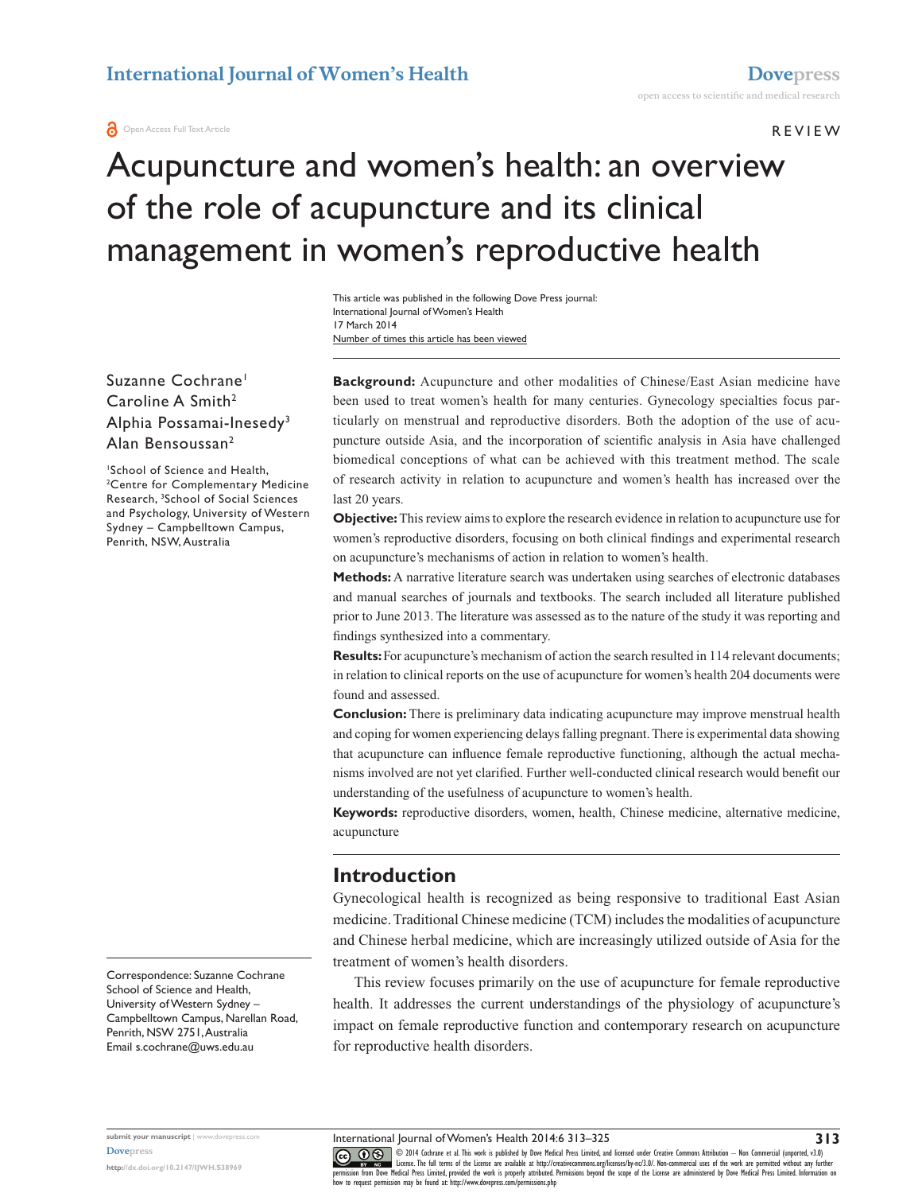#### **REVIEW**

# Acupuncture and women's health: an overview of the role of acupuncture and its clinical management in women's reproductive health

Number of times this article has been viewed This article was published in the following Dove Press journal: International Journal of Women's Health 17 March 2014

Suzanne Cochrane<sup>1</sup> Caroline A Smith2 Alphia Possamai-Inesedy3 Alan Bensoussan2

1 School of Science and Health, 2 Centre for Complementary Medicine Research, 3 School of Social Sciences and Psychology, University of Western Sydney – Campbelltown Campus, Penrith, NSW, Australia

Correspondence: Suzanne Cochrane School of Science and Health, University of Western Sydney – Campbelltown Campus, Narellan Road, Penrith, NSW 2751, Australia Email [s.cochrane@uws.edu.au](mailto:s.cochrane@uws.edu.au)

**Background:** Acupuncture and other modalities of Chinese/East Asian medicine have been used to treat women's health for many centuries. Gynecology specialties focus particularly on menstrual and reproductive disorders. Both the adoption of the use of acupuncture outside Asia, and the incorporation of scientific analysis in Asia have challenged biomedical conceptions of what can be achieved with this treatment method. The scale of research activity in relation to acupuncture and women's health has increased over the last 20 years.

**Objective:** This review aims to explore the research evidence in relation to acupuncture use for women's reproductive disorders, focusing on both clinical findings and experimental research on acupuncture's mechanisms of action in relation to women's health.

**Methods:** A narrative literature search was undertaken using searches of electronic databases and manual searches of journals and textbooks. The search included all literature published prior to June 2013. The literature was assessed as to the nature of the study it was reporting and findings synthesized into a commentary.

**Results:** For acupuncture's mechanism of action the search resulted in 114 relevant documents; in relation to clinical reports on the use of acupuncture for women's health 204 documents were found and assessed.

**Conclusion:** There is preliminary data indicating acupuncture may improve menstrual health and coping for women experiencing delays falling pregnant. There is experimental data showing that acupuncture can influence female reproductive functioning, although the actual mechanisms involved are not yet clarified. Further well-conducted clinical research would benefit our understanding of the usefulness of acupuncture to women's health.

**Keywords:** reproductive disorders, women, health, Chinese medicine, alternative medicine, acupuncture

#### **Introduction**

Gynecological health is recognized as being responsive to traditional East Asian medicine. Traditional Chinese medicine (TCM) includes the modalities of acupuncture and Chinese herbal medicine, which are increasingly utilized outside of Asia for the treatment of women's health disorders.

This review focuses primarily on the use of acupuncture for female reproductive health. It addresses the current understandings of the physiology of acupuncture's impact on female reproductive function and contemporary research on acupuncture for reproductive health disorders.

**<http://dx.doi.org/10.2147/IJWH.S38969>**

International Journal of Women's Health 2014:6 313–325

**313**

CO ODI4 Cochrane et al. This work is published by Dove Medical Press Limited, and licensed under Creative Commons Attribution - Non Commercial (unported, v3.0)<br> [permission from Dove M](http://www.dovepress.com/permissions.php)edical Press Limited, provided the work how to request permission may be found at: http://www.dovepress.com/permissions.php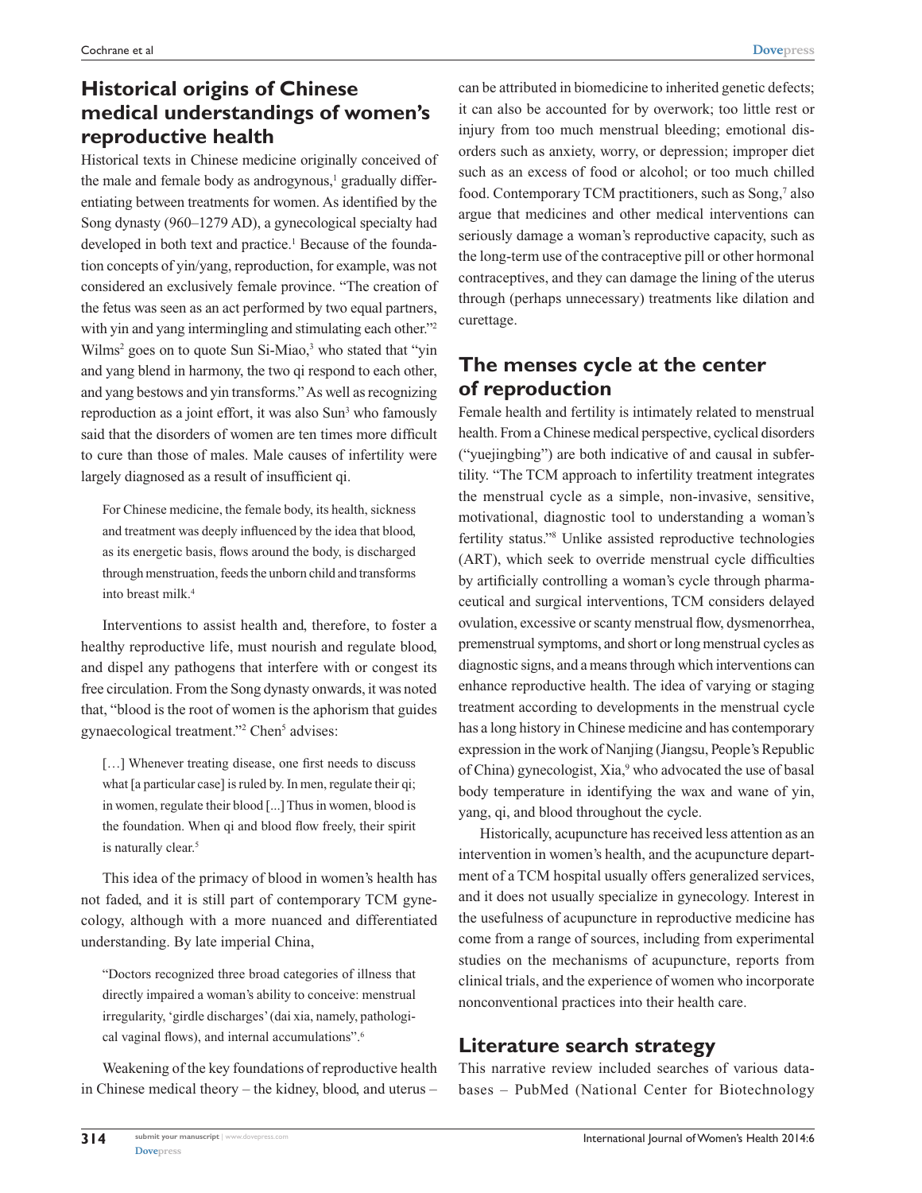## **Historical origins of Chinese medical understandings of women's reproductive health**

Historical texts in Chinese medicine originally conceived of the male and female body as androgynous,<sup>1</sup> gradually differentiating between treatments for women. As identified by the Song dynasty (960–1279 AD), a gynecological specialty had developed in both text and practice.<sup>1</sup> Because of the foundation concepts of yin/yang, reproduction, for example, was not considered an exclusively female province. "The creation of the fetus was seen as an act performed by two equal partners, with yin and yang intermingling and stimulating each other."<sup>2</sup> Wilms<sup>2</sup> goes on to quote Sun Si-Miao,<sup>3</sup> who stated that "yin and yang blend in harmony, the two qi respond to each other, and yang bestows and yin transforms." As well as recognizing reproduction as a joint effort, it was also Sun<sup>3</sup> who famously said that the disorders of women are ten times more difficult to cure than those of males. Male causes of infertility were largely diagnosed as a result of insufficient qi.

For Chinese medicine, the female body, its health, sickness and treatment was deeply influenced by the idea that blood, as its energetic basis, flows around the body, is discharged through menstruation, feeds the unborn child and transforms into breast milk.4

Interventions to assist health and, therefore, to foster a healthy reproductive life, must nourish and regulate blood, and dispel any pathogens that interfere with or congest its free circulation. From the Song dynasty onwards, it was noted that, "blood is the root of women is the aphorism that guides gynaecological treatment."<sup>2</sup> Chen<sup>5</sup> advises:

[...] Whenever treating disease, one first needs to discuss what [a particular case] is ruled by. In men, regulate their qi; in women, regulate their blood [...] Thus in women, blood is the foundation. When qi and blood flow freely, their spirit is naturally clear.<sup>5</sup>

This idea of the primacy of blood in women's health has not faded, and it is still part of contemporary TCM gynecology, although with a more nuanced and differentiated understanding. By late imperial China,

"Doctors recognized three broad categories of illness that directly impaired a woman's ability to conceive: menstrual irregularity, 'girdle discharges' (dai xia, namely, pathological vaginal flows), and internal accumulations".6

Weakening of the key foundations of reproductive health in Chinese medical theory – the kidney, blood, and uterus –

can be attributed in biomedicine to inherited genetic defects; it can also be accounted for by overwork; too little rest or injury from too much menstrual bleeding; emotional disorders such as anxiety, worry, or depression; improper diet such as an excess of food or alcohol; or too much chilled food. Contemporary TCM practitioners, such as Song,<sup>7</sup> also argue that medicines and other medical interventions can seriously damage a woman's reproductive capacity, such as the long-term use of the contraceptive pill or other hormonal contraceptives, and they can damage the lining of the uterus through (perhaps unnecessary) treatments like dilation and curettage.

## **The menses cycle at the center of reproduction**

Female health and fertility is intimately related to menstrual health. From a Chinese medical perspective, cyclical disorders ("yuejingbing") are both indicative of and causal in subfertility. "The TCM approach to infertility treatment integrates the menstrual cycle as a simple, non-invasive, sensitive, motivational, diagnostic tool to understanding a woman's fertility status."8 Unlike assisted reproductive technologies (ART), which seek to override menstrual cycle difficulties by artificially controlling a woman's cycle through pharmaceutical and surgical interventions, TCM considers delayed ovulation, excessive or scanty menstrual flow, dysmenorrhea, premenstrual symptoms, and short or long menstrual cycles as diagnostic signs, and a means through which interventions can enhance reproductive health. The idea of varying or staging treatment according to developments in the menstrual cycle has a long history in Chinese medicine and has contemporary expression in the work of Nanjing (Jiangsu, People's Republic of China) gynecologist, Xia,<sup>9</sup> who advocated the use of basal body temperature in identifying the wax and wane of yin, yang, qi, and blood throughout the cycle.

Historically, acupuncture has received less attention as an intervention in women's health, and the acupuncture department of a TCM hospital usually offers generalized services, and it does not usually specialize in gynecology. Interest in the usefulness of acupuncture in reproductive medicine has come from a range of sources, including from experimental studies on the mechanisms of acupuncture, reports from clinical trials, and the experience of women who incorporate nonconventional practices into their health care.

#### **Literature search strategy**

This narrative review included searches of various databases – PubMed (National Center for Biotechnology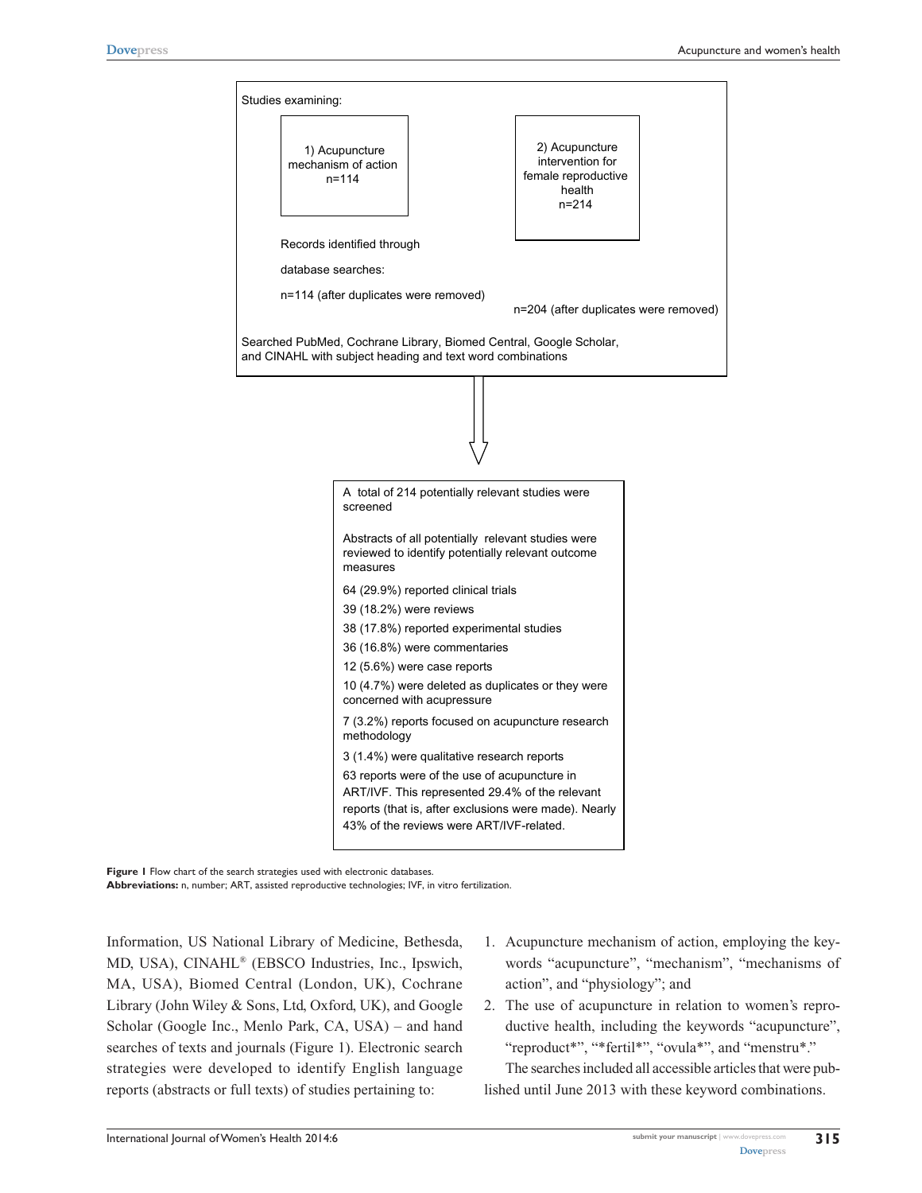

**Figure 1** Flow chart of the search strategies used with electronic databases.

**Abbreviations:** n, number; ART, assisted reproductive technologies; IVF, in vitro fertilization.

Information, US National Library of Medicine, Bethesda, MD, USA), CINAHL® (EBSCO Industries, Inc., Ipswich, MA, USA), Biomed Central (London, UK), Cochrane Library (John Wiley & Sons, Ltd, Oxford, UK), and Google Scholar (Google Inc., Menlo Park, CA, USA) – and hand searches of texts and journals (Figure 1). Electronic search strategies were developed to identify English language reports (abstracts or full texts) of studies pertaining to:

- 1. Acupuncture mechanism of action, employing the keywords "acupuncture", "mechanism", "mechanisms of action", and "physiology"; and
- 2. The use of acupuncture in relation to women's reproductive health, including the keywords "acupuncture", "reproduct\*", "\*fertil\*", "ovula\*", and "menstru\*."

The searches included all accessible articles that were published until June 2013 with these keyword combinations.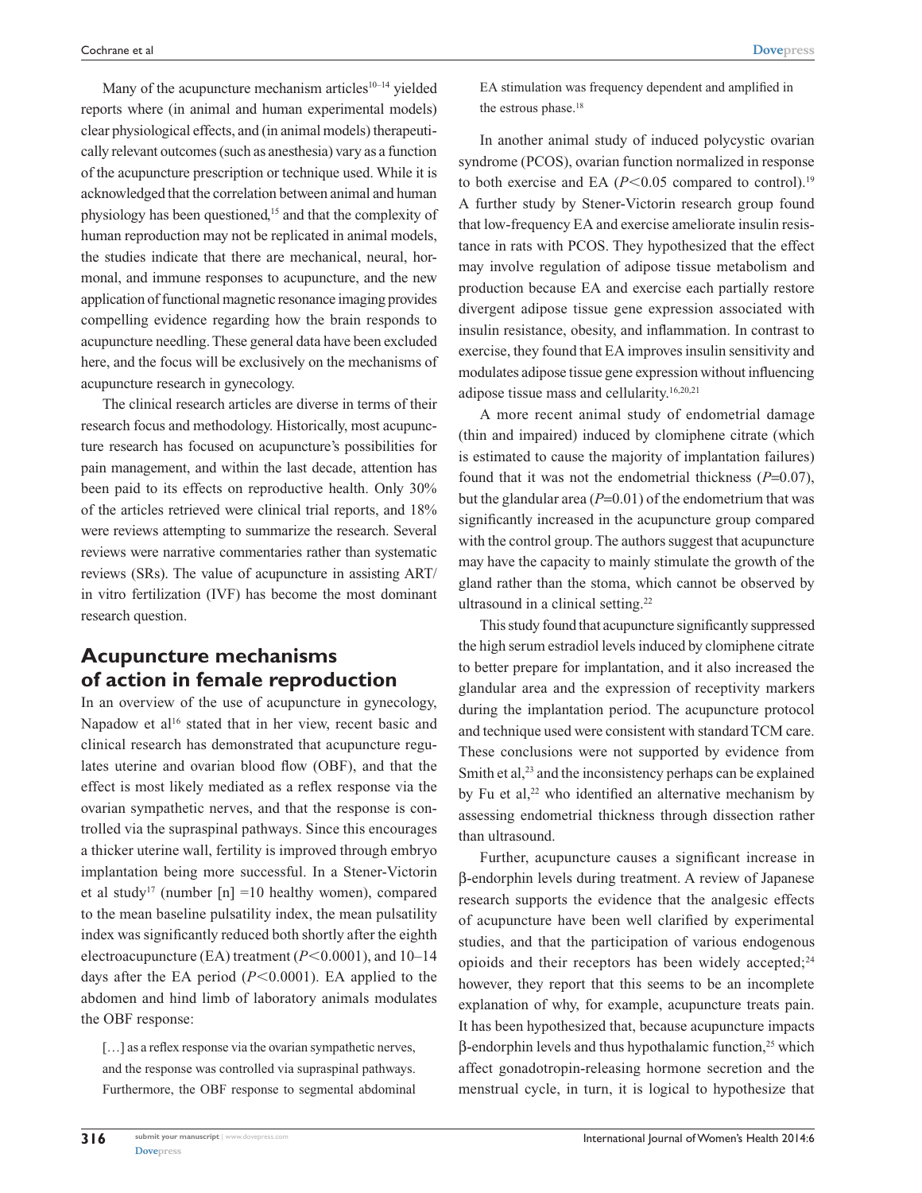Many of the acupuncture mechanism articles $10-14$  yielded reports where (in animal and human experimental models) clear physiological effects, and (in animal models) therapeutically relevant outcomes (such as anesthesia) vary as a function of the acupuncture prescription or technique used. While it is acknowledged that the correlation between animal and human physiology has been questioned,15 and that the complexity of human reproduction may not be replicated in animal models, the studies indicate that there are mechanical, neural, hormonal, and immune responses to acupuncture, and the new application of functional magnetic resonance imaging provides compelling evidence regarding how the brain responds to acupuncture needling. These general data have been excluded here, and the focus will be exclusively on the mechanisms of acupuncture research in gynecology.

The clinical research articles are diverse in terms of their research focus and methodology. Historically, most acupuncture research has focused on acupuncture's possibilities for pain management, and within the last decade, attention has been paid to its effects on reproductive health. Only 30% of the articles retrieved were clinical trial reports, and 18% were reviews attempting to summarize the research. Several reviews were narrative commentaries rather than systematic reviews (SRs). The value of acupuncture in assisting ART/ in vitro fertilization (IVF) has become the most dominant research question.

## **Acupuncture mechanisms of action in female reproduction**

In an overview of the use of acupuncture in gynecology, Napadow et al<sup>16</sup> stated that in her view, recent basic and clinical research has demonstrated that acupuncture regulates uterine and ovarian blood flow (OBF), and that the effect is most likely mediated as a reflex response via the ovarian sympathetic nerves, and that the response is controlled via the supraspinal pathways. Since this encourages a thicker uterine wall, fertility is improved through embryo implantation being more successful. In a Stener-Victorin et al study<sup>17</sup> (number  $[n] = 10$  healthy women), compared to the mean baseline pulsatility index, the mean pulsatility index was significantly reduced both shortly after the eighth electroacupuncture (EA) treatment  $(P<0.0001)$ , and  $10-14$ days after the EA period  $(P<0.0001)$ . EA applied to the abdomen and hind limb of laboratory animals modulates the OBF response:

[...] as a reflex response via the ovarian sympathetic nerves, and the response was controlled via supraspinal pathways. Furthermore, the OBF response to segmental abdominal

EA stimulation was frequency dependent and amplified in the estrous phase.<sup>18</sup>

In another animal study of induced polycystic ovarian syndrome (PCOS), ovarian function normalized in response to both exercise and EA  $(P<0.05$  compared to control).<sup>19</sup> A further study by Stener-Victorin research group found that low-frequency EA and exercise ameliorate insulin resistance in rats with PCOS. They hypothesized that the effect may involve regulation of adipose tissue metabolism and production because EA and exercise each partially restore divergent adipose tissue gene expression associated with insulin resistance, obesity, and inflammation. In contrast to exercise, they found that EA improves insulin sensitivity and modulates adipose tissue gene expression without influencing adipose tissue mass and cellularity.16,20,21

A more recent animal study of endometrial damage (thin and impaired) induced by clomiphene citrate (which is estimated to cause the majority of implantation failures) found that it was not the endometrial thickness (*P*=0.07), but the glandular area (*P*=0.01) of the endometrium that was significantly increased in the acupuncture group compared with the control group. The authors suggest that acupuncture may have the capacity to mainly stimulate the growth of the gland rather than the stoma, which cannot be observed by ultrasound in a clinical setting.22

This study found that acupuncture significantly suppressed the high serum estradiol levels induced by clomiphene citrate to better prepare for implantation, and it also increased the glandular area and the expression of receptivity markers during the implantation period. The acupuncture protocol and technique used were consistent with standard TCM care. These conclusions were not supported by evidence from Smith et al,<sup>23</sup> and the inconsistency perhaps can be explained by Fu et al,<sup>22</sup> who identified an alternative mechanism by assessing endometrial thickness through dissection rather than ultrasound.

Further, acupuncture causes a significant increase in β-endorphin levels during treatment. A review of Japanese research supports the evidence that the analgesic effects of acupuncture have been well clarified by experimental studies, and that the participation of various endogenous opioids and their receptors has been widely accepted; $24$ however, they report that this seems to be an incomplete explanation of why, for example, acupuncture treats pain. It has been hypothesized that, because acupuncture impacts β-endorphin levels and thus hypothalamic function,25 which affect gonadotropin-releasing hormone secretion and the menstrual cycle, in turn, it is logical to hypothesize that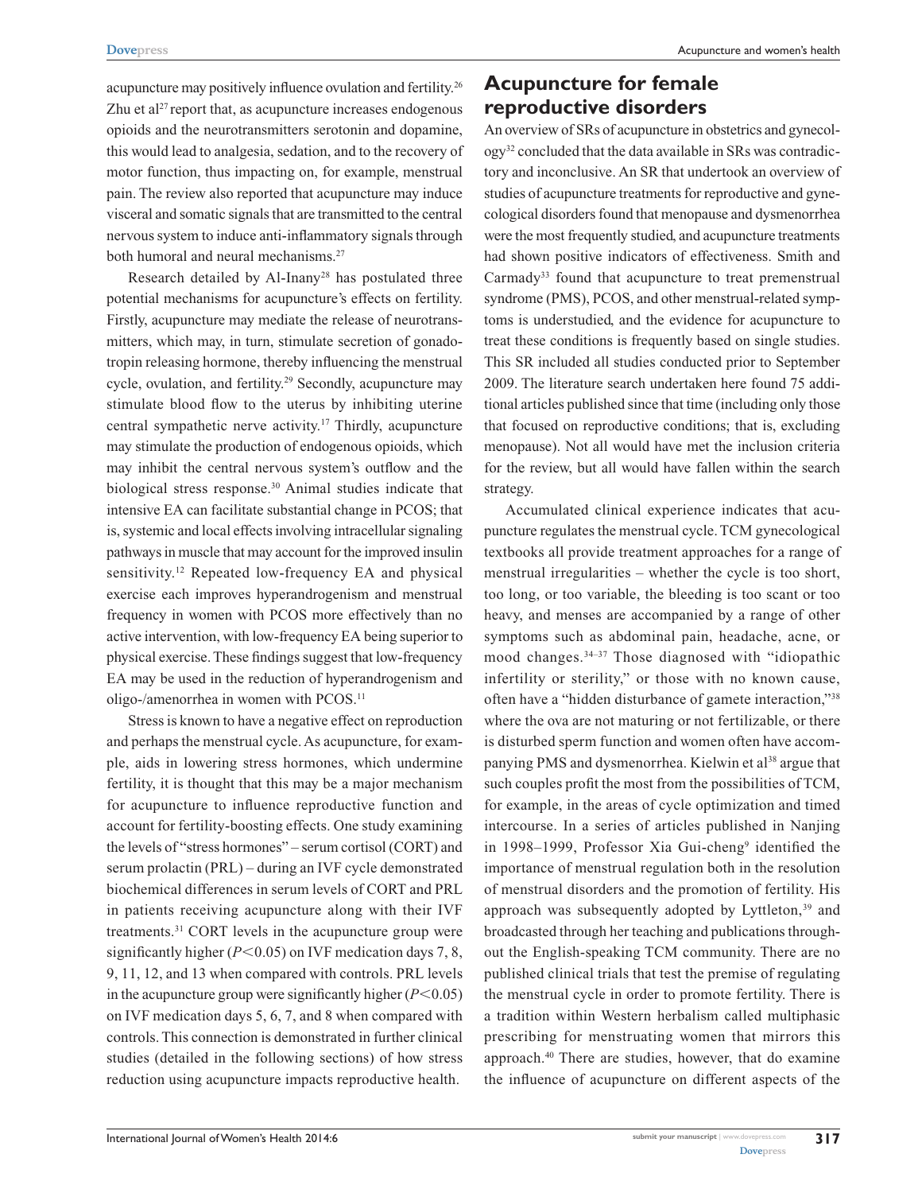acupuncture may positively influence ovulation and fertility.26 Zhu et  $al<sup>27</sup>$  report that, as acupuncture increases endogenous opioids and the neurotransmitters serotonin and dopamine, this would lead to analgesia, sedation, and to the recovery of motor function, thus impacting on, for example, menstrual pain. The review also reported that acupuncture may induce visceral and somatic signals that are transmitted to the central nervous system to induce anti-inflammatory signals through both humoral and neural mechanisms.<sup>27</sup>

Research detailed by Al-Inany<sup>28</sup> has postulated three potential mechanisms for acupuncture's effects on fertility. Firstly, acupuncture may mediate the release of neurotransmitters, which may, in turn, stimulate secretion of gonadotropin releasing hormone, thereby influencing the menstrual cycle, ovulation, and fertility.<sup>29</sup> Secondly, acupuncture may stimulate blood flow to the uterus by inhibiting uterine central sympathetic nerve activity.17 Thirdly, acupuncture may stimulate the production of endogenous opioids, which may inhibit the central nervous system's outflow and the biological stress response.30 Animal studies indicate that intensive EA can facilitate substantial change in PCOS; that is, systemic and local effects involving intracellular signaling pathways in muscle that may account for the improved insulin sensitivity.<sup>12</sup> Repeated low-frequency EA and physical exercise each improves hyperandrogenism and menstrual frequency in women with PCOS more effectively than no active intervention, with low-frequency EA being superior to physical exercise. These findings suggest that low-frequency EA may be used in the reduction of hyperandrogenism and oligo-/amenorrhea in women with PCOS.<sup>11</sup>

Stress is known to have a negative effect on reproduction and perhaps the menstrual cycle. As acupuncture, for example, aids in lowering stress hormones, which undermine fertility, it is thought that this may be a major mechanism for acupuncture to influence reproductive function and account for fertility-boosting effects. One study examining the levels of "stress hormones" – serum cortisol (CORT) and serum prolactin (PRL) – during an IVF cycle demonstrated biochemical differences in serum levels of CORT and PRL in patients receiving acupuncture along with their IVF treatments.31 CORT levels in the acupuncture group were significantly higher  $(P<0.05)$  on IVF medication days 7, 8, 9, 11, 12, and 13 when compared with controls. PRL levels in the acupuncture group were significantly higher  $(P<0.05)$ on IVF medication days 5, 6, 7, and 8 when compared with controls. This connection is demonstrated in further clinical studies (detailed in the following sections) of how stress reduction using acupuncture impacts reproductive health.

## **Acupuncture for female reproductive disorders**

An overview of SRs of acupuncture in obstetrics and gynecology32 concluded that the data available in SRs was contradictory and inconclusive. An SR that undertook an overview of studies of acupuncture treatments for reproductive and gynecological disorders found that menopause and dysmenorrhea were the most frequently studied, and acupuncture treatments had shown positive indicators of effectiveness. Smith and Carmady<sup>33</sup> found that acupuncture to treat premenstrual syndrome (PMS), PCOS, and other menstrual-related symptoms is understudied, and the evidence for acupuncture to treat these conditions is frequently based on single studies. This SR included all studies conducted prior to September 2009. The literature search undertaken here found 75 additional articles published since that time (including only those that focused on reproductive conditions; that is, excluding menopause). Not all would have met the inclusion criteria for the review, but all would have fallen within the search strategy.

Accumulated clinical experience indicates that acupuncture regulates the menstrual cycle. TCM gynecological textbooks all provide treatment approaches for a range of menstrual irregularities – whether the cycle is too short, too long, or too variable, the bleeding is too scant or too heavy, and menses are accompanied by a range of other symptoms such as abdominal pain, headache, acne, or mood changes.34–37 Those diagnosed with "idiopathic infertility or sterility," or those with no known cause, often have a "hidden disturbance of gamete interaction,"38 where the ova are not maturing or not fertilizable, or there is disturbed sperm function and women often have accompanying PMS and dysmenorrhea. Kielwin et al<sup>38</sup> argue that such couples profit the most from the possibilities of TCM, for example, in the areas of cycle optimization and timed intercourse. In a series of articles published in Nanjing in 1998–1999, Professor Xia Gui-cheng<sup>9</sup> identified the importance of menstrual regulation both in the resolution of menstrual disorders and the promotion of fertility. His approach was subsequently adopted by Lyttleton,<sup>39</sup> and broadcasted through her teaching and publications throughout the English-speaking TCM community. There are no published clinical trials that test the premise of regulating the menstrual cycle in order to promote fertility. There is a tradition within Western herbalism called multiphasic prescribing for menstruating women that mirrors this approach.40 There are studies, however, that do examine the influence of acupuncture on different aspects of the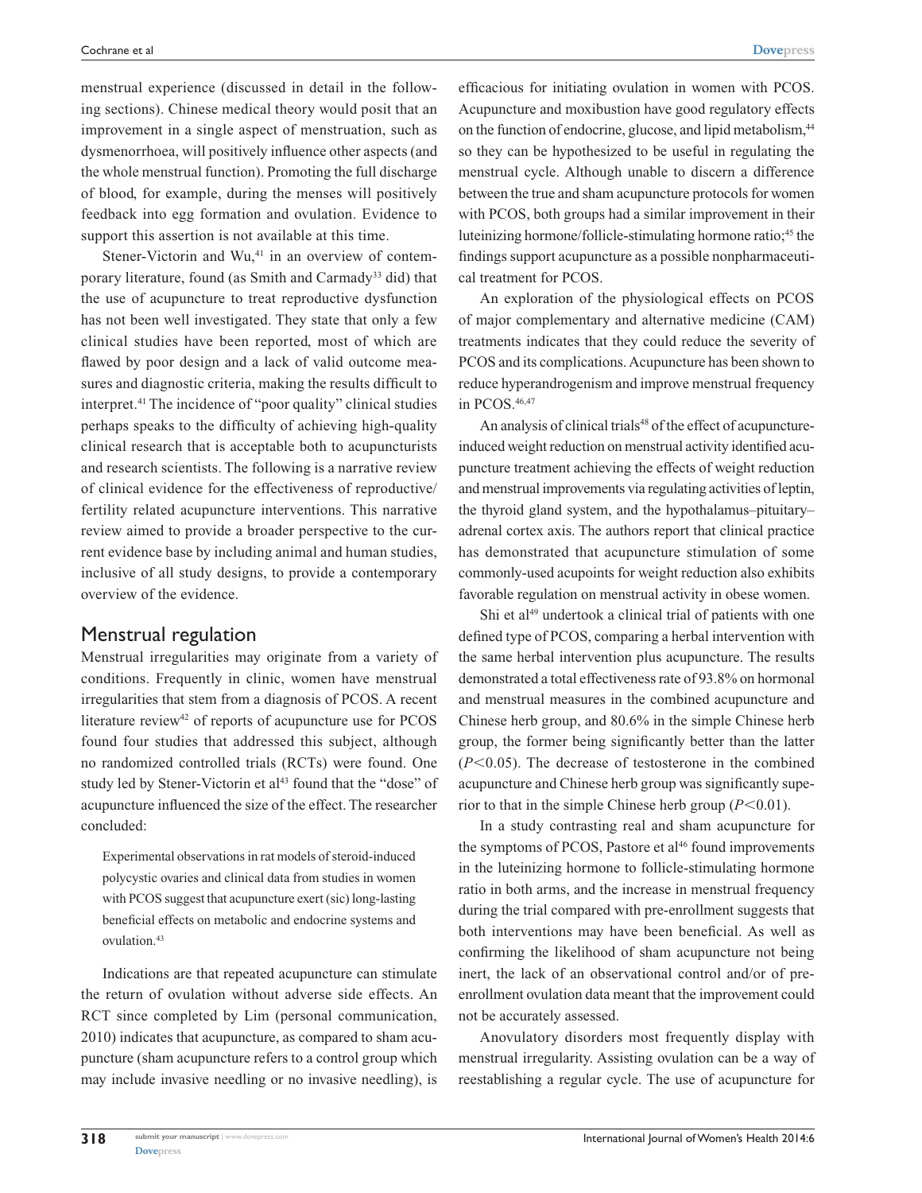menstrual experience (discussed in detail in the following sections). Chinese medical theory would posit that an improvement in a single aspect of menstruation, such as dysmenorrhoea, will positively influence other aspects (and the whole menstrual function). Promoting the full discharge of blood, for example, during the menses will positively feedback into egg formation and ovulation. Evidence to support this assertion is not available at this time.

Stener-Victorin and Wu,<sup>41</sup> in an overview of contemporary literature, found (as Smith and Carmady<sup>33</sup> did) that the use of acupuncture to treat reproductive dysfunction has not been well investigated. They state that only a few clinical studies have been reported, most of which are flawed by poor design and a lack of valid outcome measures and diagnostic criteria, making the results difficult to interpret.41 The incidence of "poor quality" clinical studies perhaps speaks to the difficulty of achieving high-quality clinical research that is acceptable both to acupuncturists and research scientists. The following is a narrative review of clinical evidence for the effectiveness of reproductive/ fertility related acupuncture interventions. This narrative review aimed to provide a broader perspective to the current evidence base by including animal and human studies, inclusive of all study designs, to provide a contemporary overview of the evidence.

#### Menstrual regulation

Menstrual irregularities may originate from a variety of conditions. Frequently in clinic, women have menstrual irregularities that stem from a diagnosis of PCOS. A recent literature review<sup>42</sup> of reports of acupuncture use for PCOS found four studies that addressed this subject, although no randomized controlled trials (RCTs) were found. One study led by Stener-Victorin et al<sup>43</sup> found that the "dose" of acupuncture influenced the size of the effect. The researcher concluded:

Experimental observations in rat models of steroid-induced polycystic ovaries and clinical data from studies in women with PCOS suggest that acupuncture exert (sic) long-lasting beneficial effects on metabolic and endocrine systems and ovulation.43

Indications are that repeated acupuncture can stimulate the return of ovulation without adverse side effects. An RCT since completed by Lim (personal communication, 2010) indicates that acupuncture, as compared to sham acupuncture (sham acupuncture refers to a control group which may include invasive needling or no invasive needling), is efficacious for initiating ovulation in women with PCOS. Acupuncture and moxibustion have good regulatory effects on the function of endocrine, glucose, and lipid metabolism,<sup>44</sup> so they can be hypothesized to be useful in regulating the menstrual cycle. Although unable to discern a difference between the true and sham acupuncture protocols for women with PCOS, both groups had a similar improvement in their luteinizing hormone/follicle-stimulating hormone ratio;45 the findings support acupuncture as a possible nonpharmaceutical treatment for PCOS.

An exploration of the physiological effects on PCOS of major complementary and alternative medicine (CAM) treatments indicates that they could reduce the severity of PCOS and its complications. Acupuncture has been shown to reduce hyperandrogenism and improve menstrual frequency in PCOS.46,47

An analysis of clinical trials<sup>48</sup> of the effect of acupunctureinduced weight reduction on menstrual activity identified acupuncture treatment achieving the effects of weight reduction and menstrual improvements via regulating activities of leptin, the thyroid gland system, and the hypothalamus–pituitary– adrenal cortex axis. The authors report that clinical practice has demonstrated that acupuncture stimulation of some commonly-used acupoints for weight reduction also exhibits favorable regulation on menstrual activity in obese women.

Shi et al<sup>49</sup> undertook a clinical trial of patients with one defined type of PCOS, comparing a herbal intervention with the same herbal intervention plus acupuncture. The results demonstrated a total effectiveness rate of 93.8% on hormonal and menstrual measures in the combined acupuncture and Chinese herb group, and 80.6% in the simple Chinese herb group, the former being significantly better than the latter  $(P<0.05)$ . The decrease of testosterone in the combined acupuncture and Chinese herb group was significantly superior to that in the simple Chinese herb group  $(P<0.01)$ .

In a study contrasting real and sham acupuncture for the symptoms of PCOS, Pastore et  $al<sup>46</sup>$  found improvements in the luteinizing hormone to follicle-stimulating hormone ratio in both arms, and the increase in menstrual frequency during the trial compared with pre-enrollment suggests that both interventions may have been beneficial. As well as confirming the likelihood of sham acupuncture not being inert, the lack of an observational control and/or of preenrollment ovulation data meant that the improvement could not be accurately assessed.

Anovulatory disorders most frequently display with menstrual irregularity. Assisting ovulation can be a way of reestablishing a regular cycle. The use of acupuncture for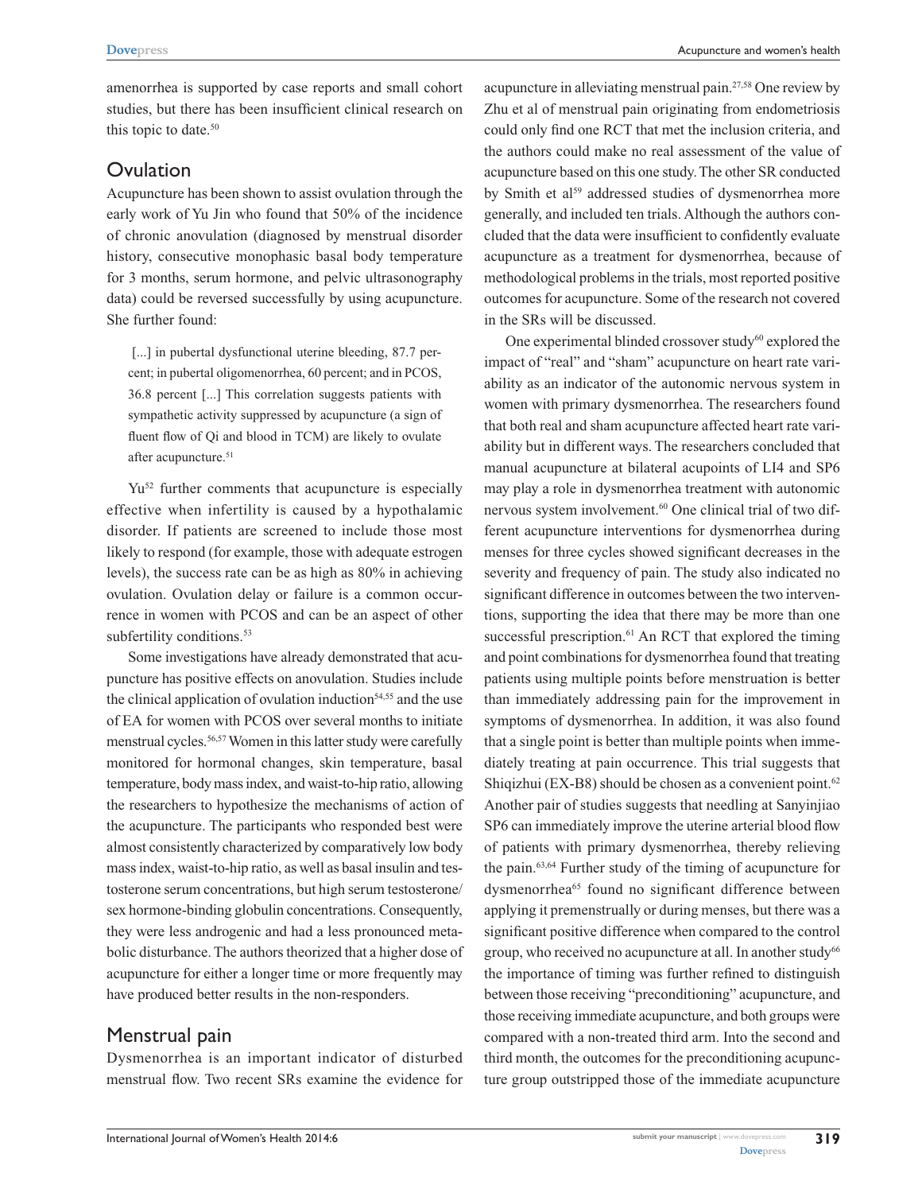amenorrhea is supported by case reports and small cohort studies, but there has been insufficient clinical research on this topic to date.<sup>50</sup>

## **Ovulation**

Acupuncture has been shown to assist ovulation through the early work of Yu Jin who found that 50% of the incidence of chronic anovulation (diagnosed by menstrual disorder history, consecutive monophasic basal body temperature for 3 months, serum hormone, and pelvic ultrasonography data) could be reversed successfully by using acupuncture. She further found:

[...] in pubertal dysfunctional uterine bleeding, 87.7 percent; in pubertal oligomenorrhea, 60 percent; and in PCOS, 36.8 percent [...] This correlation suggests patients with sympathetic activity suppressed by acupuncture (a sign of fluent flow of Qi and blood in TCM) are likely to ovulate after acupuncture.<sup>51</sup>

Yu<sup>52</sup> further comments that acupuncture is especially effective when infertility is caused by a hypothalamic disorder. If patients are screened to include those most likely to respond (for example, those with adequate estrogen levels), the success rate can be as high as 80% in achieving ovulation. Ovulation delay or failure is a common occurrence in women with PCOS and can be an aspect of other subfertility conditions.<sup>53</sup>

Some investigations have already demonstrated that acupuncture has positive effects on anovulation. Studies include the clinical application of ovulation induction<sup>54,55</sup> and the use of EA for women with PCOS over several months to initiate menstrual cycles.56,57 Women in this latter study were carefully monitored for hormonal changes, skin temperature, basal temperature, body mass index, and waist-to-hip ratio, allowing the researchers to hypothesize the mechanisms of action of the acupuncture. The participants who responded best were almost consistently characterized by comparatively low body mass index, waist-to-hip ratio, as well as basal insulin and testosterone serum concentrations, but high serum testosterone/ sex hormone-binding globulin concentrations. Consequently, they were less androgenic and had a less pronounced metabolic disturbance. The authors theorized that a higher dose of acupuncture for either a longer time or more frequently may have produced better results in the non-responders.

## Menstrual pain

Dysmenorrhea is an important indicator of disturbed menstrual flow. Two recent SRs examine the evidence for acupuncture in alleviating menstrual pain.27,58 One review by Zhu et al of menstrual pain originating from endometriosis could only find one RCT that met the inclusion criteria, and the authors could make no real assessment of the value of acupuncture based on this one study. The other SR conducted by Smith et al<sup>59</sup> addressed studies of dysmenorrhea more generally, and included ten trials. Although the authors concluded that the data were insufficient to confidently evaluate acupuncture as a treatment for dysmenorrhea, because of methodological problems in the trials, most reported positive outcomes for acupuncture. Some of the research not covered in the SRs will be discussed.

One experimental blinded crossover study $60$  explored the impact of "real" and "sham" acupuncture on heart rate variability as an indicator of the autonomic nervous system in women with primary dysmenorrhea. The researchers found that both real and sham acupuncture affected heart rate variability but in different ways. The researchers concluded that manual acupuncture at bilateral acupoints of LI4 and SP6 may play a role in dysmenorrhea treatment with autonomic nervous system involvement.<sup>60</sup> One clinical trial of two different acupuncture interventions for dysmenorrhea during menses for three cycles showed significant decreases in the severity and frequency of pain. The study also indicated no significant difference in outcomes between the two interventions, supporting the idea that there may be more than one successful prescription.<sup>61</sup> An RCT that explored the timing and point combinations for dysmenorrhea found that treating patients using multiple points before menstruation is better than immediately addressing pain for the improvement in symptoms of dysmenorrhea. In addition, it was also found that a single point is better than multiple points when immediately treating at pain occurrence. This trial suggests that Shiqizhui (EX-B8) should be chosen as a convenient point.<sup>62</sup> Another pair of studies suggests that needling at Sanyinjiao SP6 can immediately improve the uterine arterial blood flow of patients with primary dysmenorrhea, thereby relieving the pain.63,64 Further study of the timing of acupuncture for dysmenorrhea<sup>65</sup> found no significant difference between applying it premenstrually or during menses, but there was a significant positive difference when compared to the control group, who received no acupuncture at all. In another study<sup>66</sup> the importance of timing was further refined to distinguish between those receiving "preconditioning" acupuncture, and those receiving immediate acupuncture, and both groups were compared with a non-treated third arm. Into the second and third month, the outcomes for the preconditioning acupuncture group outstripped those of the immediate acupuncture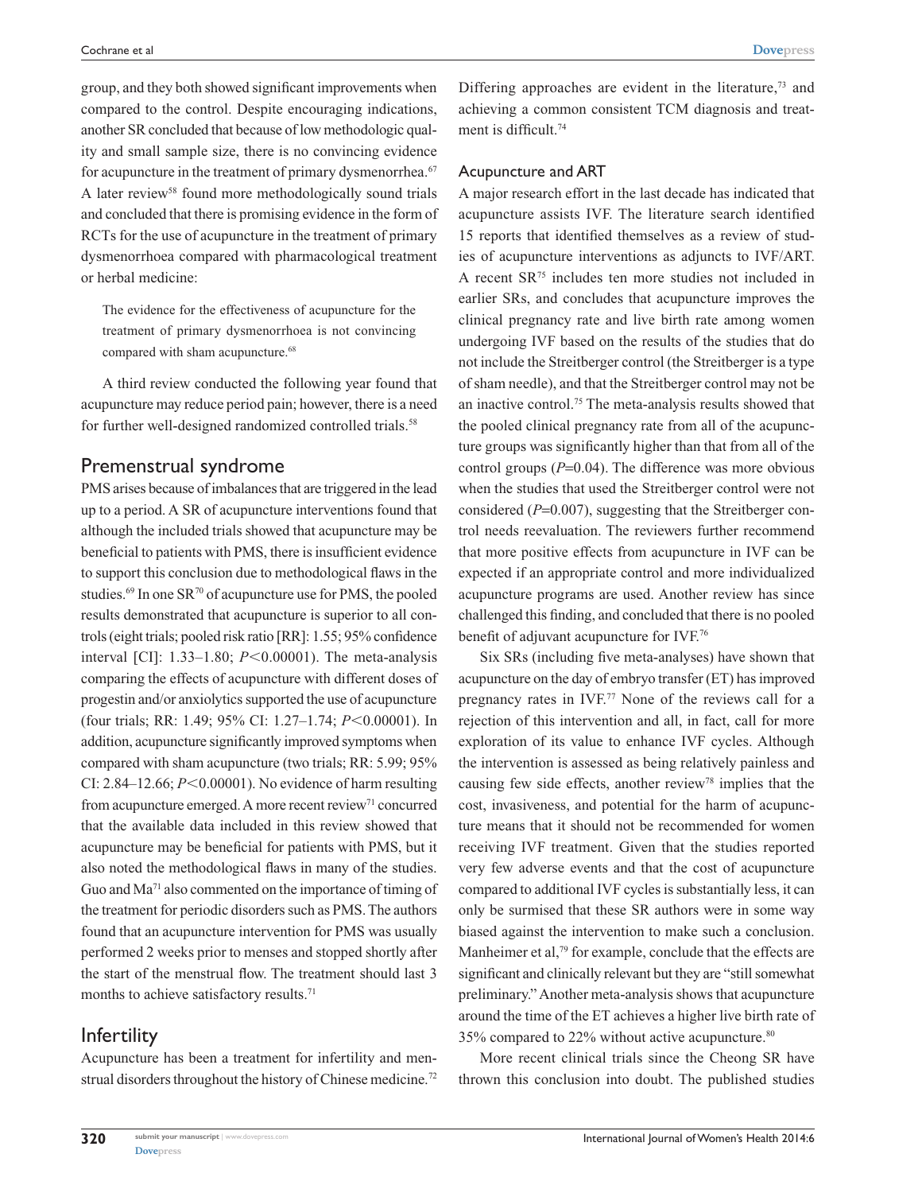**[Dovepress](www.dovepress.com)**

group, and they both showed significant improvements when compared to the control. Despite encouraging indications, another SR concluded that because of low methodologic quality and small sample size, there is no convincing evidence for acupuncture in the treatment of primary dysmenorrhea.<sup>67</sup> A later review<sup>58</sup> found more methodologically sound trials and concluded that there is promising evidence in the form of RCTs for the use of acupuncture in the treatment of primary dysmenorrhoea compared with pharmacological treatment or herbal medicine:

The evidence for the effectiveness of acupuncture for the treatment of primary dysmenorrhoea is not convincing compared with sham acupuncture.<sup>68</sup>

A third review conducted the following year found that acupuncture may reduce period pain; however, there is a need for further well-designed randomized controlled trials.<sup>58</sup>

#### Premenstrual syndrome

PMS arises because of imbalances that are triggered in the lead up to a period. A SR of acupuncture interventions found that although the included trials showed that acupuncture may be beneficial to patients with PMS, there is insufficient evidence to support this conclusion due to methodological flaws in the studies.<sup>69</sup> In one SR<sup>70</sup> of acupuncture use for PMS, the pooled results demonstrated that acupuncture is superior to all controls (eight trials; pooled risk ratio [RR]: 1.55; 95% confidence interval [CI]: 1.33–1.80; *P*<0.00001). The meta-analysis comparing the effects of acupuncture with different doses of progestin and/or anxiolytics supported the use of acupuncture (four trials; RR: 1.49; 95% CI: 1.27-1.74;  $P \le 0.00001$ ). In addition, acupuncture significantly improved symptoms when compared with sham acupuncture (two trials; RR: 5.99; 95% CI: 2.84–12.66;  $P \le 0.00001$ ). No evidence of harm resulting from acupuncture emerged. A more recent review<sup>71</sup> concurred that the available data included in this review showed that acupuncture may be beneficial for patients with PMS, but it also noted the methodological flaws in many of the studies. Guo and Ma71 also commented on the importance of timing of the treatment for periodic disorders such as PMS. The authors found that an acupuncture intervention for PMS was usually performed 2 weeks prior to menses and stopped shortly after the start of the menstrual flow. The treatment should last 3 months to achieve satisfactory results.<sup>71</sup>

#### **Infertility**

Acupuncture has been a treatment for infertility and menstrual disorders throughout the history of Chinese medicine.<sup>72</sup> Differing approaches are evident in the literature, $73$  and achieving a common consistent TCM diagnosis and treatment is difficult.<sup>74</sup>

#### Acupuncture and ART

A major research effort in the last decade has indicated that acupuncture assists IVF. The literature search identified 15 reports that identified themselves as a review of studies of acupuncture interventions as adjuncts to IVF/ART. A recent SR75 includes ten more studies not included in earlier SRs, and concludes that acupuncture improves the clinical pregnancy rate and live birth rate among women undergoing IVF based on the results of the studies that do not include the Streitberger control (the Streitberger is a type of sham needle), and that the Streitberger control may not be an inactive control.75 The meta-analysis results showed that the pooled clinical pregnancy rate from all of the acupuncture groups was significantly higher than that from all of the control groups (*P*=0.04). The difference was more obvious when the studies that used the Streitberger control were not considered (*P*=0.007), suggesting that the Streitberger control needs reevaluation. The reviewers further recommend that more positive effects from acupuncture in IVF can be expected if an appropriate control and more individualized acupuncture programs are used. Another review has since challenged this finding, and concluded that there is no pooled benefit of adjuvant acupuncture for IVF.<sup>76</sup>

Six SRs (including five meta-analyses) have shown that acupuncture on the day of embryo transfer (ET) has improved pregnancy rates in IVF.<sup>77</sup> None of the reviews call for a rejection of this intervention and all, in fact, call for more exploration of its value to enhance IVF cycles. Although the intervention is assessed as being relatively painless and causing few side effects, another review78 implies that the cost, invasiveness, and potential for the harm of acupuncture means that it should not be recommended for women receiving IVF treatment. Given that the studies reported very few adverse events and that the cost of acupuncture compared to additional IVF cycles is substantially less, it can only be surmised that these SR authors were in some way biased against the intervention to make such a conclusion. Manheimer et al,<sup>79</sup> for example, conclude that the effects are significant and clinically relevant but they are "still somewhat preliminary." Another meta-analysis shows that acupuncture around the time of the ET achieves a higher live birth rate of 35% compared to 22% without active acupuncture.80

More recent clinical trials since the Cheong SR have thrown this conclusion into doubt. The published studies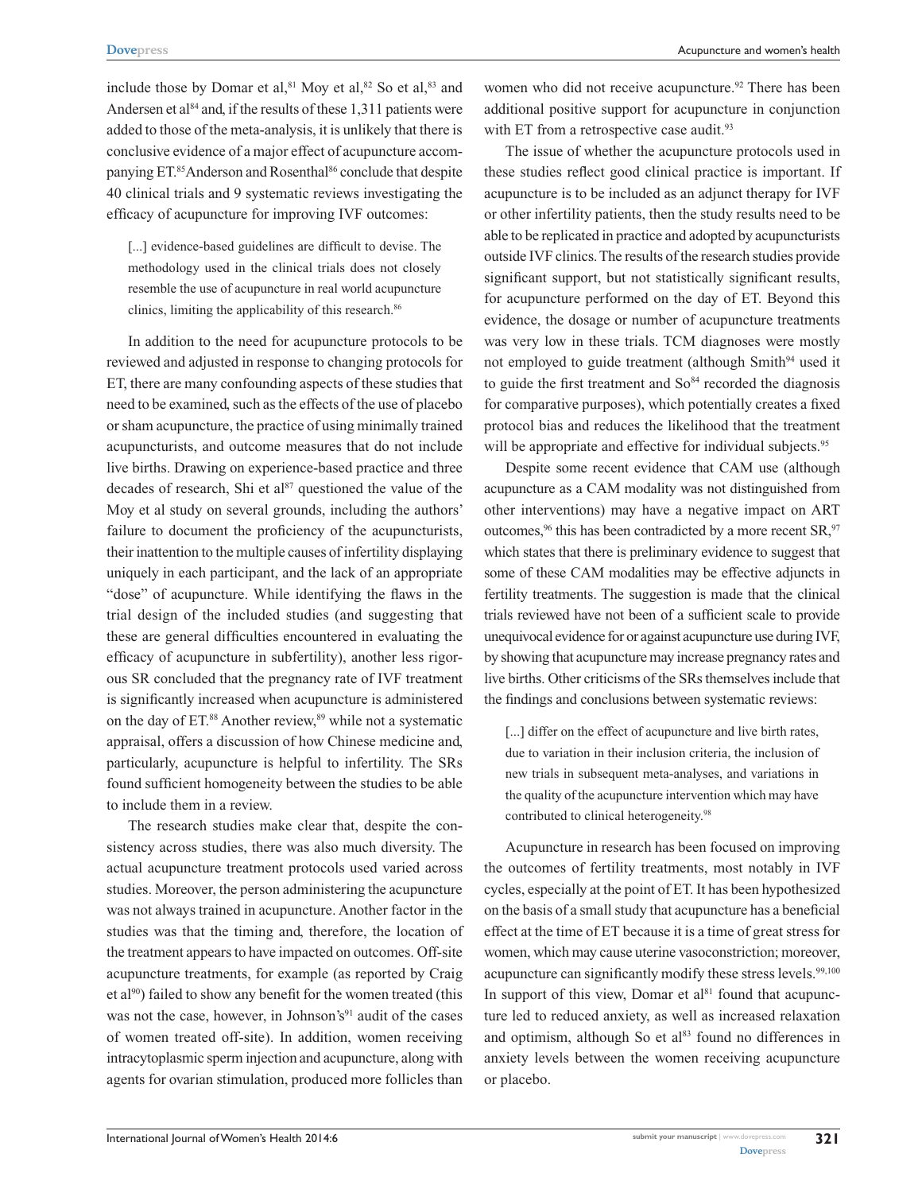include those by Domar et al,  $81$  Moy et al,  $82$  So et al,  $83$  and Andersen et al<sup>84</sup> and, if the results of these 1,311 patients were added to those of the meta-analysis, it is unlikely that there is conclusive evidence of a major effect of acupuncture accompanying ET.<sup>85</sup>Anderson and Rosenthal<sup>86</sup> conclude that despite 40 clinical trials and 9 systematic reviews investigating the efficacy of acupuncture for improving IVF outcomes:

[...] evidence-based guidelines are difficult to devise. The methodology used in the clinical trials does not closely resemble the use of acupuncture in real world acupuncture clinics, limiting the applicability of this research.<sup>86</sup>

In addition to the need for acupuncture protocols to be reviewed and adjusted in response to changing protocols for ET, there are many confounding aspects of these studies that need to be examined, such as the effects of the use of placebo or sham acupuncture, the practice of using minimally trained acupuncturists, and outcome measures that do not include live births. Drawing on experience-based practice and three decades of research, Shi et  $al<sup>87</sup>$  questioned the value of the Moy et al study on several grounds, including the authors' failure to document the proficiency of the acupuncturists, their inattention to the multiple causes of infertility displaying uniquely in each participant, and the lack of an appropriate "dose" of acupuncture. While identifying the flaws in the trial design of the included studies (and suggesting that these are general difficulties encountered in evaluating the efficacy of acupuncture in subfertility), another less rigorous SR concluded that the pregnancy rate of IVF treatment is significantly increased when acupuncture is administered on the day of ET.<sup>88</sup> Another review,<sup>89</sup> while not a systematic appraisal, offers a discussion of how Chinese medicine and, particularly, acupuncture is helpful to infertility. The SRs found sufficient homogeneity between the studies to be able to include them in a review.

The research studies make clear that, despite the consistency across studies, there was also much diversity. The actual acupuncture treatment protocols used varied across studies. Moreover, the person administering the acupuncture was not always trained in acupuncture. Another factor in the studies was that the timing and, therefore, the location of the treatment appears to have impacted on outcomes. Off-site acupuncture treatments, for example (as reported by Craig et al<sup>90</sup>) failed to show any benefit for the women treated (this was not the case, however, in Johnson's<sup>91</sup> audit of the cases of women treated off-site). In addition, women receiving intracytoplasmic sperm injection and acupuncture, along with agents for ovarian stimulation, produced more follicles than

women who did not receive acupuncture.<sup>92</sup> There has been additional positive support for acupuncture in conjunction with ET from a retrospective case audit.<sup>93</sup>

The issue of whether the acupuncture protocols used in these studies reflect good clinical practice is important. If acupuncture is to be included as an adjunct therapy for IVF or other infertility patients, then the study results need to be able to be replicated in practice and adopted by acupuncturists outside IVF clinics. The results of the research studies provide significant support, but not statistically significant results, for acupuncture performed on the day of ET. Beyond this evidence, the dosage or number of acupuncture treatments was very low in these trials. TCM diagnoses were mostly not employed to guide treatment (although Smith<sup>94</sup> used it to guide the first treatment and  $So<sup>84</sup>$  recorded the diagnosis for comparative purposes), which potentially creates a fixed protocol bias and reduces the likelihood that the treatment will be appropriate and effective for individual subjects.<sup>95</sup>

Despite some recent evidence that CAM use (although acupuncture as a CAM modality was not distinguished from other interventions) may have a negative impact on ART outcomes,  $96$  this has been contradicted by a more recent SR, $97$ which states that there is preliminary evidence to suggest that some of these CAM modalities may be effective adjuncts in fertility treatments. The suggestion is made that the clinical trials reviewed have not been of a sufficient scale to provide unequivocal evidence for or against acupuncture use during IVF, by showing that acupuncture may increase pregnancy rates and live births. Other criticisms of the SRs themselves include that the findings and conclusions between systematic reviews:

[...] differ on the effect of acupuncture and live birth rates, due to variation in their inclusion criteria, the inclusion of new trials in subsequent meta-analyses, and variations in the quality of the acupuncture intervention which may have contributed to clinical heterogeneity.98

Acupuncture in research has been focused on improving the outcomes of fertility treatments, most notably in IVF cycles, especially at the point of ET. It has been hypothesized on the basis of a small study that acupuncture has a beneficial effect at the time of ET because it is a time of great stress for women, which may cause uterine vasoconstriction; moreover, acupuncture can significantly modify these stress levels.<sup>99,100</sup> In support of this view, Domar et  $al<sup>81</sup>$  found that acupuncture led to reduced anxiety, as well as increased relaxation and optimism, although So et al<sup>83</sup> found no differences in anxiety levels between the women receiving acupuncture or placebo.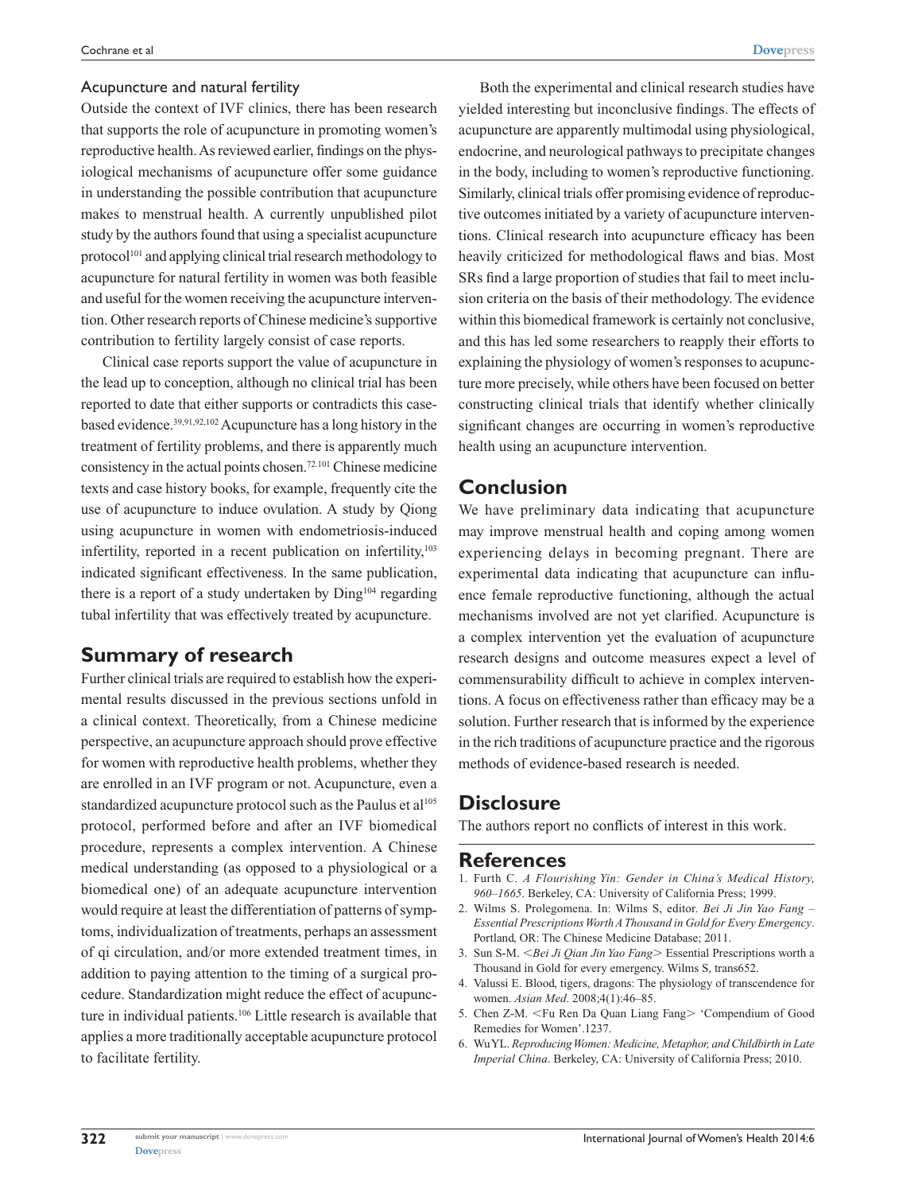#### Acupuncture and natural fertility

Outside the context of IVF clinics, there has been research that supports the role of acupuncture in promoting women's reproductive health. As reviewed earlier, findings on the physiological mechanisms of acupuncture offer some guidance in understanding the possible contribution that acupuncture makes to menstrual health. A currently unpublished pilot study by the authors found that using a specialist acupuncture protocol<sup>101</sup> and applying clinical trial research methodology to acupuncture for natural fertility in women was both feasible and useful for the women receiving the acupuncture intervention. Other research reports of Chinese medicine's supportive contribution to fertility largely consist of case reports.

Clinical case reports support the value of acupuncture in the lead up to conception, although no clinical trial has been reported to date that either supports or contradicts this casebased evidence.39,91,92,102 Acupuncture has a long history in the treatment of fertility problems, and there is apparently much consistency in the actual points chosen.72.101 Chinese medicine texts and case history books, for example, frequently cite the use of acupuncture to induce ovulation. A study by Qiong using acupuncture in women with endometriosis-induced infertility, reported in a recent publication on infertility,<sup>103</sup> indicated significant effectiveness. In the same publication, there is a report of a study undertaken by Ding<sup>104</sup> regarding tubal infertility that was effectively treated by acupuncture.

#### **Summary of research**

Further clinical trials are required to establish how the experimental results discussed in the previous sections unfold in a clinical context. Theoretically, from a Chinese medicine perspective, an acupuncture approach should prove effective for women with reproductive health problems, whether they are enrolled in an IVF program or not. Acupuncture, even a standardized acupuncture protocol such as the Paulus et al<sup>105</sup> protocol, performed before and after an IVF biomedical procedure, represents a complex intervention. A Chinese medical understanding (as opposed to a physiological or a biomedical one) of an adequate acupuncture intervention would require at least the differentiation of patterns of symptoms, individualization of treatments, perhaps an assessment of qi circulation, and/or more extended treatment times, in addition to paying attention to the timing of a surgical procedure. Standardization might reduce the effect of acupuncture in individual patients.<sup>106</sup> Little research is available that applies a more traditionally acceptable acupuncture protocol to facilitate fertility.

Both the experimental and clinical research studies have yielded interesting but inconclusive findings. The effects of acupuncture are apparently multimodal using physiological, endocrine, and neurological pathways to precipitate changes in the body, including to women's reproductive functioning. Similarly, clinical trials offer promising evidence of reproductive outcomes initiated by a variety of acupuncture interventions. Clinical research into acupuncture efficacy has been heavily criticized for methodological flaws and bias. Most SRs find a large proportion of studies that fail to meet inclusion criteria on the basis of their methodology. The evidence within this biomedical framework is certainly not conclusive, and this has led some researchers to reapply their efforts to explaining the physiology of women's responses to acupuncture more precisely, while others have been focused on better constructing clinical trials that identify whether clinically significant changes are occurring in women's reproductive health using an acupuncture intervention.

#### **Conclusion**

We have preliminary data indicating that acupuncture may improve menstrual health and coping among women experiencing delays in becoming pregnant. There are experimental data indicating that acupuncture can influence female reproductive functioning, although the actual mechanisms involved are not yet clarified. Acupuncture is a complex intervention yet the evaluation of acupuncture research designs and outcome measures expect a level of commensurability difficult to achieve in complex interventions. A focus on effectiveness rather than efficacy may be a solution. Further research that is informed by the experience in the rich traditions of acupuncture practice and the rigorous methods of evidence-based research is needed.

#### **Disclosure**

The authors report no conflicts of interest in this work.

#### **References**

- 1. Furth C. *A Flourishing Yin: Gender in China's Medical History, 960–1665*. Berkeley, CA: University of California Press; 1999.
- 2. Wilms S. Prolegomena. In: Wilms S, editor. *Bei Ji Jin Yao Fang – Essential Prescriptions Worth A Thousand in Gold for Every Emergency*. Portland, OR: The Chinese Medicine Database; 2011.
- 3. Sun S-M. < Bei Ji Qian Jin Yao Fang> Essential Prescriptions worth a Thousand in Gold for every emergency. Wilms S, trans652.
- 4. Valussi E. Blood, tigers, dragons: The physiology of transcendence for women. *Asian Med*. 2008;4(1):46–85.
- 5. Chen Z-M. <Fu Ren Da Quan Liang Fang> 'Compendium of Good Remedies for Women'.1237.
- 6. Wu YL. *Reproducing Women: Medicine, Metaphor, and Childbirth in Late Imperial China*. Berkeley, CA: University of California Press; 2010.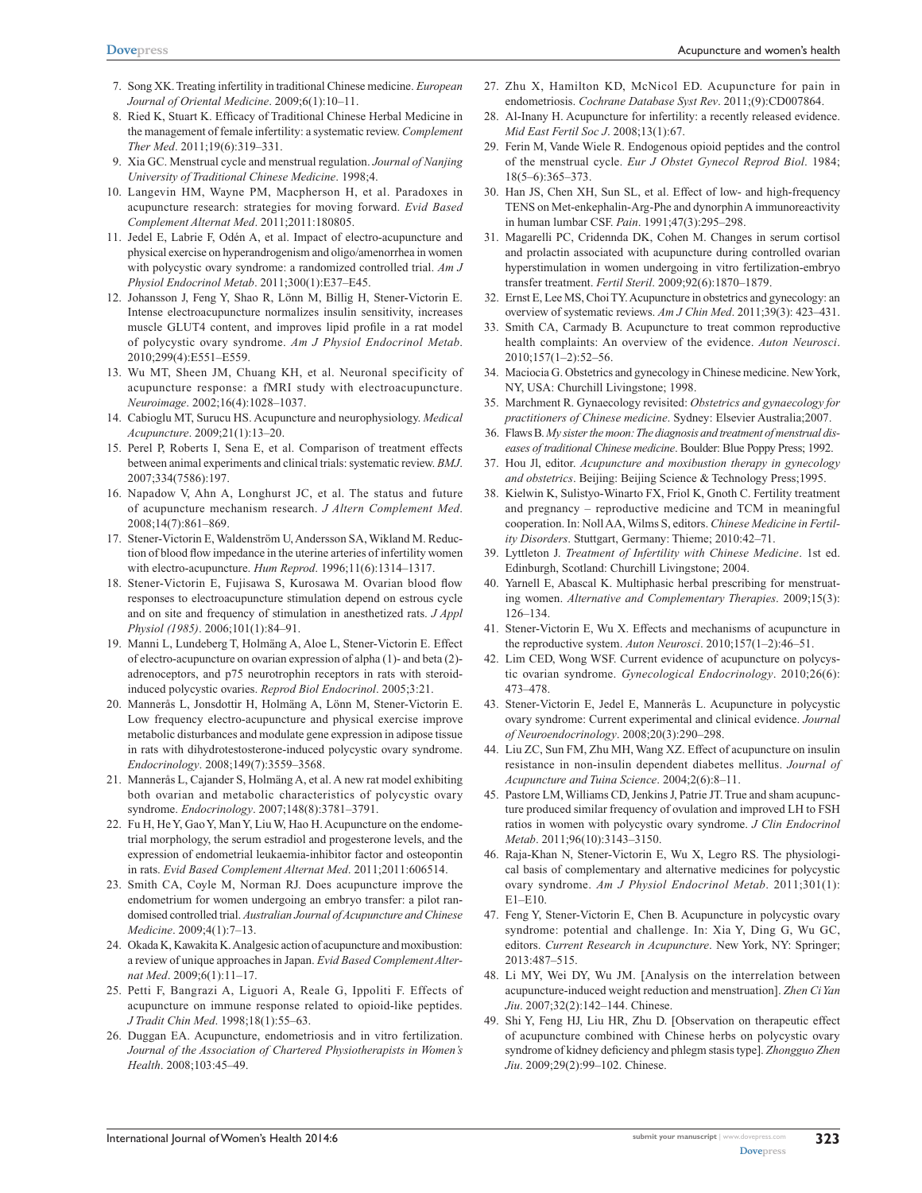- 7. Song XK. Treating infertility in traditional Chinese medicine. *European Journal of Oriental Medicine*. 2009;6(1):10–11.
- 8. Ried K, Stuart K. Efficacy of Traditional Chinese Herbal Medicine in the management of female infertility: a systematic review. *Complement Ther Med*. 2011;19(6):319–331.
- 9. Xia GC. Menstrual cycle and menstrual regulation. *Journal of Nanjing University of Traditional Chinese Medicine*. 1998;4.
- 10. Langevin HM, Wayne PM, Macpherson H, et al. Paradoxes in acupuncture research: strategies for moving forward. *Evid Based Complement Alternat Med*. 2011;2011:180805.
- 11. Jedel E, Labrie F, Odén A, et al. Impact of electro-acupuncture and physical exercise on hyperandrogenism and oligo/amenorrhea in women with polycystic ovary syndrome: a randomized controlled trial. *Am J Physiol Endocrinol Metab*. 2011;300(1):E37–E45.
- 12. Johansson J, Feng Y, Shao R, Lönn M, Billig H, Stener-Victorin E. Intense electroacupuncture normalizes insulin sensitivity, increases muscle GLUT4 content, and improves lipid profile in a rat model of polycystic ovary syndrome. *Am J Physiol Endocrinol Metab*. 2010;299(4):E551–E559.
- 13. Wu MT, Sheen JM, Chuang KH, et al. Neuronal specificity of acupuncture response: a fMRI study with electroacupuncture. *Neuroimage*. 2002;16(4):1028–1037.
- 14. Cabioglu MT, Surucu HS. Acupuncture and neurophysiology. *Medical Acupuncture*. 2009;21(1):13–20.
- 15. Perel P, Roberts I, Sena E, et al. Comparison of treatment effects between animal experiments and clinical trials: systematic review. *BMJ*. 2007;334(7586):197.
- 16. Napadow V, Ahn A, Longhurst JC, et al. The status and future of acupuncture mechanism research. *J Altern Complement Med*. 2008;14(7):861–869.
- 17. Stener-Victorin E, Waldenström U, Andersson SA, Wikland M. Reduction of blood flow impedance in the uterine arteries of infertility women with electro-acupuncture. *Hum Reprod*. 1996;11(6):1314–1317.
- 18. Stener-Victorin E, Fujisawa S, Kurosawa M. Ovarian blood flow responses to electroacupuncture stimulation depend on estrous cycle and on site and frequency of stimulation in anesthetized rats. *J Appl Physiol (1985)*. 2006;101(1):84–91.
- 19. Manni L, Lundeberg T, Holmäng A, Aloe L, Stener-Victorin E. Effect of electro-acupuncture on ovarian expression of alpha (1)- and beta (2) adrenoceptors, and p75 neurotrophin receptors in rats with steroidinduced polycystic ovaries. *Reprod Biol Endocrinol*. 2005;3:21.
- 20. Mannerås L, Jonsdottir H, Holmäng A, Lönn M, Stener-Victorin E. Low frequency electro-acupuncture and physical exercise improve metabolic disturbances and modulate gene expression in adipose tissue in rats with dihydrotestosterone-induced polycystic ovary syndrome. *Endocrinology*. 2008;149(7):3559–3568.
- 21. Mannerås L, Cajander S, Holmäng A, et al. A new rat model exhibiting both ovarian and metabolic characteristics of polycystic ovary syndrome. *Endocrinology*. 2007;148(8):3781–3791.
- 22. Fu H, He Y, Gao Y, Man Y, Liu W, Hao H. Acupuncture on the endometrial morphology, the serum estradiol and progesterone levels, and the expression of endometrial leukaemia-inhibitor factor and osteopontin in rats. *Evid Based Complement Alternat Med*. 2011;2011:606514.
- 23. Smith CA, Coyle M, Norman RJ. Does acupuncture improve the endometrium for women undergoing an embryo transfer: a pilot randomised controlled trial. *Australian Journal of Acupuncture and Chinese Medicine*. 2009;4(1):7–13.
- 24. Okada K, Kawakita K. Analgesic action of acupuncture and moxibustion: a review of unique approaches in Japan. *Evid Based Complement Alternat Med*. 2009;6(1):11–17.
- 25. Petti F, Bangrazi A, Liguori A, Reale G, Ippoliti F. Effects of acupuncture on immune response related to opioid-like peptides. *J Tradit Chin Med*. 1998;18(1):55–63.
- 26. Duggan EA. Acupuncture, endometriosis and in vitro fertilization. *Journal of the Association of Chartered Physiotherapists in Women's Health*. 2008;103:45–49.
- 27. Zhu X, Hamilton KD, McNicol ED. Acupuncture for pain in endometriosis. *Cochrane Database Syst Rev*. 2011;(9):CD007864.
- 28. Al-Inany H. Acupuncture for infertility: a recently released evidence. *Mid East Fertil Soc J*. 2008;13(1):67.
- 29. Ferin M, Vande Wiele R. Endogenous opioid peptides and the control of the menstrual cycle. *Eur J Obstet Gynecol Reprod Biol*. 1984; 18(5–6):365–373.
- 30. Han JS, Chen XH, Sun SL, et al. Effect of low- and high-frequency TENS on Met-enkephalin-Arg-Phe and dynorphin A immunoreactivity in human lumbar CSF. *Pain*. 1991;47(3):295–298.
- 31. Magarelli PC, Cridennda DK, Cohen M. Changes in serum cortisol and prolactin associated with acupuncture during controlled ovarian hyperstimulation in women undergoing in vitro fertilization-embryo transfer treatment. *Fertil Steril*. 2009;92(6):1870–1879.
- 32. Ernst E, Lee MS, Choi TY. Acupuncture in obstetrics and gynecology: an overview of systematic reviews. *Am J Chin Med*. 2011;39(3): 423–431.
- 33. Smith CA, Carmady B. Acupuncture to treat common reproductive health complaints: An overview of the evidence. *Auton Neurosci*. 2010;157(1–2):52–56.
- 34. Maciocia G. Obstetrics and gynecology in Chinese medicine. New York, NY, USA: Churchill Livingstone; 1998.
- 35. Marchment R. Gynaecology revisited: *Obstetrics and gynaecology for practitioners of Chinese medicine*. Sydney: Elsevier Australia;2007.
- 36. Flaws B. *My sister the moon: The diagnosis and treatment of menstrual diseases of traditional Chinese medicine*. Boulder: Blue Poppy Press; 1992.
- 37. Hou Jl, editor. *Acupuncture and moxibustion therapy in gynecology and obstetrics*. Beijing: Beijing Science & Technology Press;1995.
- 38. Kielwin K, Sulistyo-Winarto FX, Friol K, Gnoth C. Fertility treatment and pregnancy – reproductive medicine and TCM in meaningful cooperation. In: Noll AA, Wilms S, editors. *Chinese Medicine in Fertility Disorders*. Stuttgart, Germany: Thieme; 2010:42–71.
- 39. Lyttleton J. *Treatment of Infertility with Chinese Medicine*. 1st ed. Edinburgh, Scotland: Churchill Livingstone; 2004.
- 40. Yarnell E, Abascal K. Multiphasic herbal prescribing for menstruating women. *Alternative and Complementary Therapies*. 2009;15(3): 126–134.
- 41. Stener-Victorin E, Wu X. Effects and mechanisms of acupuncture in the reproductive system. *Auton Neurosci*. 2010;157(1–2):46–51.
- 42. Lim CED, Wong WSF. Current evidence of acupuncture on polycystic ovarian syndrome. *Gynecological Endocrinology*. 2010;26(6): 473–478.
- 43. Stener-Victorin E, Jedel E, Mannerås L. Acupuncture in polycystic ovary syndrome: Current experimental and clinical evidence. *Journal of Neuroendocrinology*. 2008;20(3):290–298.
- 44. Liu ZC, Sun FM, Zhu MH, Wang XZ. Effect of acupuncture on insulin resistance in non-insulin dependent diabetes mellitus. *Journal of Acupuncture and Tuina Science*. 2004;2(6):8–11.
- 45. Pastore LM, Williams CD, Jenkins J, Patrie JT. True and sham acupuncture produced similar frequency of ovulation and improved LH to FSH ratios in women with polycystic ovary syndrome. *J Clin Endocrinol Metab*. 2011;96(10):3143–3150.
- 46. Raja-Khan N, Stener-Victorin E, Wu X, Legro RS. The physiological basis of complementary and alternative medicines for polycystic ovary syndrome. *Am J Physiol Endocrinol Metab*. 2011;301(1): E1–E10.
- 47. Feng Y, Stener-Victorin E, Chen B. Acupuncture in polycystic ovary syndrome: potential and challenge. In: Xia Y, Ding G, Wu GC, editors. *Current Research in Acupuncture*. New York, NY: Springer; 2013:487–515.
- 48. Li MY, Wei DY, Wu JM. [Analysis on the interrelation between acupuncture-induced weight reduction and menstruation]. *Zhen Ci Yan Jiu*. 2007;32(2):142–144. Chinese.
- 49. Shi Y, Feng HJ, Liu HR, Zhu D. [Observation on therapeutic effect of acupuncture combined with Chinese herbs on polycystic ovary syndrome of kidney deficiency and phlegm stasis type]. *Zhongguo Zhen Jiu*. 2009;29(2):99–102. Chinese.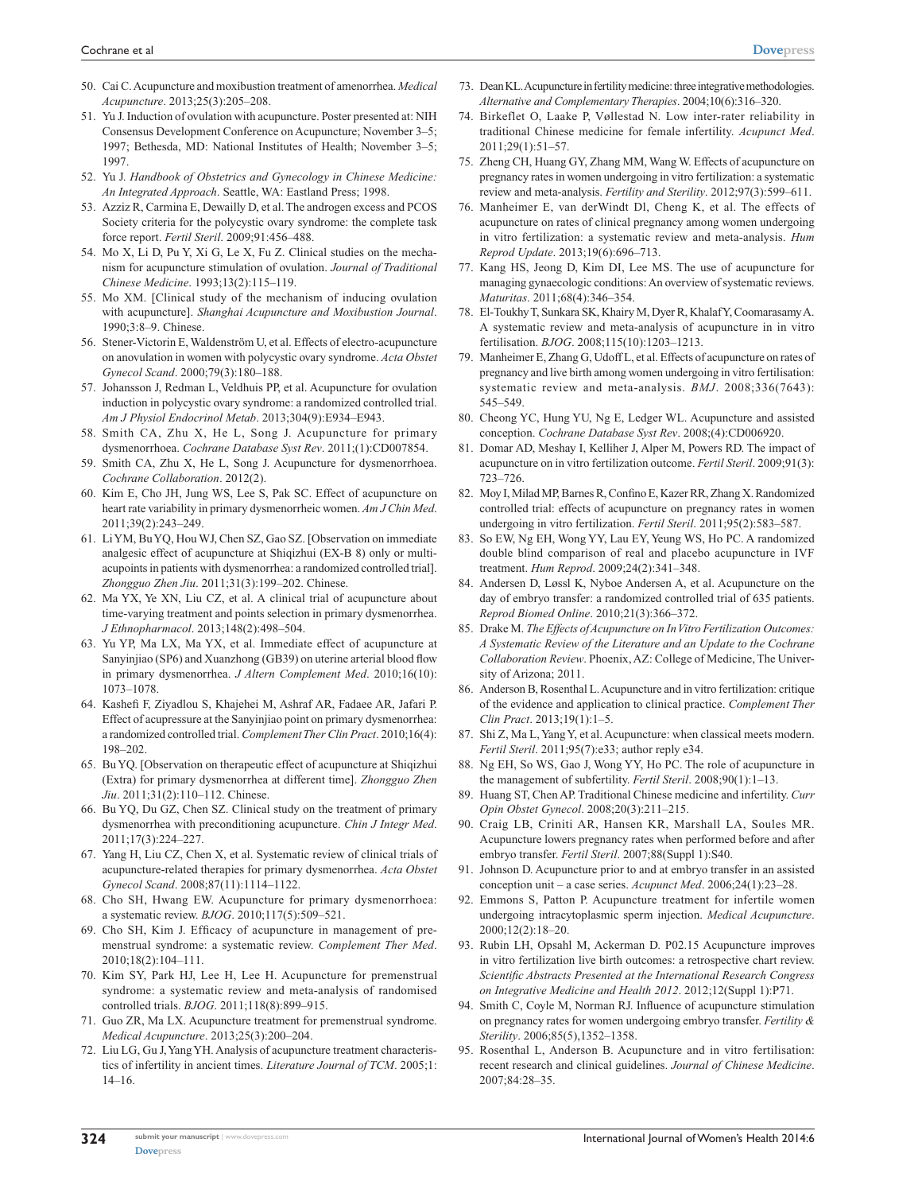- 50. Cai C. Acupuncture and moxibustion treatment of amenorrhea. *Medical Acupuncture*. 2013;25(3):205–208.
- 51. Yu J. Induction of ovulation with acupuncture. Poster presented at: NIH Consensus Development Conference on Acupuncture; November 3–5; 1997; Bethesda, MD: National Institutes of Health; November 3–5; 1997.
- 52. Yu J. *Handbook of Obstetrics and Gynecology in Chinese Medicine: An Integrated Approach*. Seattle, WA: Eastland Press; 1998.
- 53. Azziz R, Carmina E, Dewailly D, et al. The androgen excess and PCOS Society criteria for the polycystic ovary syndrome: the complete task force report. *Fertil Steril*. 2009;91:456–488.
- 54. Mo X, Li D, Pu Y, Xi G, Le X, Fu Z. Clinical studies on the mechanism for acupuncture stimulation of ovulation. *Journal of Traditional Chinese Medicine*. 1993;13(2):115–119.
- 55. Mo XM. [Clinical study of the mechanism of inducing ovulation with acupuncture]. *Shanghai Acupuncture and Moxibustion Journal*. 1990;3:8–9. Chinese.
- 56. Stener-Victorin E, Waldenström U, et al. Effects of electro-acupuncture on anovulation in women with polycystic ovary syndrome. *Acta Obstet Gynecol Scand*. 2000;79(3):180–188.
- 57. Johansson J, Redman L, Veldhuis PP, et al. Acupuncture for ovulation induction in polycystic ovary syndrome: a randomized controlled trial. *Am J Physiol Endocrinol Metab*. 2013;304(9):E934–E943.
- 58. Smith CA, Zhu X, He L, Song J. Acupuncture for primary dysmenorrhoea. *Cochrane Database Syst Rev*. 2011;(1):CD007854.
- 59. Smith CA, Zhu X, He L, Song J. Acupuncture for dysmenorrhoea. *Cochrane Collaboration*. 2012(2).
- 60. Kim E, Cho JH, Jung WS, Lee S, Pak SC. Effect of acupuncture on heart rate variability in primary dysmenorrheic women. *Am J Chin Med*. 2011;39(2):243–249.
- 61. Li YM, Bu YQ, Hou WJ, Chen SZ, Gao SZ. [Observation on immediate analgesic effect of acupuncture at Shiqizhui (EX-B 8) only or multiacupoints in patients with dysmenorrhea: a randomized controlled trial]. *Zhongguo Zhen Jiu*. 2011;31(3):199–202. Chinese.
- 62. Ma YX, Ye XN, Liu CZ, et al. A clinical trial of acupuncture about time-varying treatment and points selection in primary dysmenorrhea. *J Ethnopharmacol*. 2013;148(2):498–504.
- 63. Yu YP, Ma LX, Ma YX, et al. Immediate effect of acupuncture at Sanyinjiao (SP6) and Xuanzhong (GB39) on uterine arterial blood flow in primary dysmenorrhea. *J Altern Complement Med*. 2010;16(10): 1073–1078.
- 64. Kashefi F, Ziyadlou S, Khajehei M, Ashraf AR, Fadaee AR, Jafari P. Effect of acupressure at the Sanyinjiao point on primary dysmenorrhea: a randomized controlled trial. *Complement Ther Clin Pract*. 2010;16(4): 198–202.
- 65. Bu YQ. [Observation on therapeutic effect of acupuncture at Shiqizhui (Extra) for primary dysmenorrhea at different time]. *Zhongguo Zhen Jiu*. 2011;31(2):110–112. Chinese.
- 66. Bu YQ, Du GZ, Chen SZ. Clinical study on the treatment of primary dysmenorrhea with preconditioning acupuncture. *Chin J Integr Med*. 2011;17(3):224–227.
- 67. Yang H, Liu CZ, Chen X, et al. Systematic review of clinical trials of acupuncture-related therapies for primary dysmenorrhea. *Acta Obstet Gynecol Scand*. 2008;87(11):1114–1122.
- 68. Cho SH, Hwang EW. Acupuncture for primary dysmenorrhoea: a systematic review. *BJOG*. 2010;117(5):509–521.
- 69. Cho SH, Kim J. Efficacy of acupuncture in management of premenstrual syndrome: a systematic review. *Complement Ther Med*. 2010;18(2):104–111.
- 70. Kim SY, Park HJ, Lee H, Lee H. Acupuncture for premenstrual syndrome: a systematic review and meta-analysis of randomised controlled trials. *BJOG*. 2011;118(8):899–915.
- 71. Guo ZR, Ma LX. Acupuncture treatment for premenstrual syndrome. *Medical Acupuncture*. 2013;25(3):200–204.
- 72. Liu LG, Gu J, Yang YH. Analysis of acupuncture treatment characteristics of infertility in ancient times. *Literature Journal of TCM*. 2005;1: 14–16.
- 73. Dean KL. Acupuncture in fertility medicine: three integrative methodologies. *Alternative and Complementary Therapies*. 2004;10(6):316–320.
- 74. Birkeflet O, Laake P, Vøllestad N. Low inter-rater reliability in traditional Chinese medicine for female infertility. *Acupunct Med*. 2011;29(1):51–57.
- 75. Zheng CH, Huang GY, Zhang MM, Wang W. Effects of acupuncture on pregnancy rates in women undergoing in vitro fertilization: a systematic review and meta-analysis. *Fertility and Sterility*. 2012;97(3):599–611.
- 76. Manheimer E, van derWindt Dl, Cheng K, et al. The effects of acupuncture on rates of clinical pregnancy among women undergoing in vitro fertilization: a systematic review and meta-analysis. *Hum Reprod Update*. 2013;19(6):696–713.
- 77. Kang HS, Jeong D, Kim DI, Lee MS. The use of acupuncture for managing gynaecologic conditions: An overview of systematic reviews. *Maturitas*. 2011;68(4):346–354.
- 78. El-Toukhy T, Sunkara SK, Khairy M, Dyer R, Khalaf Y, Coomarasamy A. A systematic review and meta-analysis of acupuncture in in vitro fertilisation. *BJOG*. 2008;115(10):1203–1213.
- 79. Manheimer E, Zhang G, Udoff L, et al. Effects of acupuncture on rates of pregnancy and live birth among women undergoing in vitro fertilisation: systematic review and meta-analysis. *BMJ*. 2008;336(7643): 545–549.
- 80. Cheong YC, Hung YU, Ng E, Ledger WL. Acupuncture and assisted conception. *Cochrane Database Syst Rev*. 2008;(4):CD006920.
- 81. Domar AD, Meshay I, Kelliher J, Alper M, Powers RD. The impact of acupuncture on in vitro fertilization outcome. *Fertil Steril*. 2009;91(3): 723–726.
- 82. Moy I, Milad MP, Barnes R, Confino E, Kazer RR, Zhang X. Randomized controlled trial: effects of acupuncture on pregnancy rates in women undergoing in vitro fertilization. *Fertil Steril*. 2011;95(2):583–587.
- 83. So EW, Ng EH, Wong YY, Lau EY, Yeung WS, Ho PC. A randomized double blind comparison of real and placebo acupuncture in IVF treatment. *Hum Reprod*. 2009;24(2):341–348.
- 84. Andersen D, Løssl K, Nyboe Andersen A, et al. Acupuncture on the day of embryo transfer: a randomized controlled trial of 635 patients. *Reprod Biomed Online*. 2010;21(3):366–372.
- 85. Drake M. *The Effects of Acupuncture on In Vitro Fertilization Outcomes: A Systematic Review of the Literature and an Update to the Cochrane Collaboration Review*. Phoenix, AZ: College of Medicine, The University of Arizona; 2011.
- 86. Anderson B, Rosenthal L. Acupuncture and in vitro fertilization: critique of the evidence and application to clinical practice. *Complement Ther Clin Pract*. 2013;19(1):1–5.
- 87. Shi Z, Ma L, Yang Y, et al. Acupuncture: when classical meets modern. *Fertil Steril*. 2011;95(7):e33; author reply e34.
- 88. Ng EH, So WS, Gao J, Wong YY, Ho PC. The role of acupuncture in the management of subfertility. *Fertil Steril*. 2008;90(1):1–13.
- 89. Huang ST, Chen AP. Traditional Chinese medicine and infertility. *Curr Opin Obstet Gynecol*. 2008;20(3):211–215.
- 90. Craig LB, Criniti AR, Hansen KR, Marshall LA, Soules MR. Acupuncture lowers pregnancy rates when performed before and after embryo transfer. *Fertil Steril*. 2007;88(Suppl 1):S40.
- 91. Johnson D. Acupuncture prior to and at embryo transfer in an assisted conception unit – a case series. *Acupunct Med*. 2006;24(1):23–28.
- 92. Emmons S, Patton P. Acupuncture treatment for infertile women undergoing intracytoplasmic sperm injection. *Medical Acupuncture*. 2000;12(2):18–20.
- 93. Rubin LH, Opsahl M, Ackerman D. P02.15 Acupuncture improves in vitro fertilization live birth outcomes: a retrospective chart review. *Scientific Abstracts Presented at the International Research Congress on Integrative Medicine and Health 2012*. 2012;12(Suppl 1):P71.
- 94. Smith C, Coyle M, Norman RJ. Influence of acupuncture stimulation on pregnancy rates for women undergoing embryo transfer. *Fertility & Sterility*. 2006;85(5),1352–1358.
- 95. Rosenthal L, Anderson B. Acupuncture and in vitro fertilisation: recent research and clinical guidelines. *Journal of Chinese Medicine*. 2007;84:28–35.